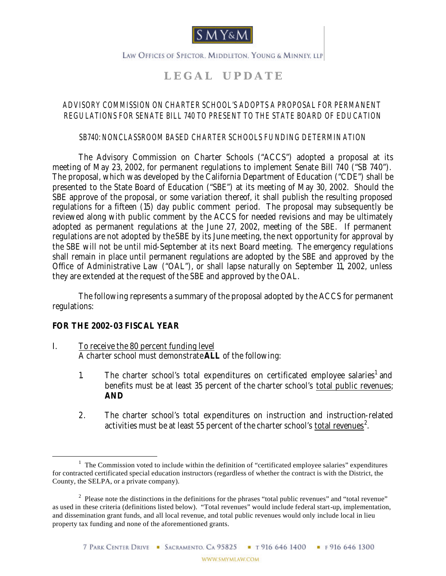

LAW OFFICES OF SPECTOR, MIDDLETON, YOUNG & MINNEY, LLP

# **L E G A L U P D A T E**

### *ADVISORY COMMISSION ON CHARTER SCHOOL'S ADOPTS A PROPOSAL FOR PERMANENT REGULATIONS FOR SENATE BILL 740 TO PRESENT TO THE STATE BOARD OF EDUCATION*

#### *SB740: NONCLASSROOM BASED CHARTER SCHOOLS FUNDING DETERMINATION*

The Advisory Commission on Charter Schools ("ACCS") adopted a proposal at its meeting of May 23, 2002, for permanent regulations to implement Senate Bill 740 ("SB 740"). The proposal, which was developed by the California Department of Education ("CDE") shall be presented to the State Board of Education ("SBE") at its meeting of May 30, 2002. Should the SBE approve of the proposal, or some variation thereof, it shall publish the resulting proposed regulations for a fifteen (15) day public comment period. The proposal may subsequently be reviewed along with public comment by the ACCS for needed revisions and may be ultimately adopted as permanent regulations at the June 27, 2002, meeting of the SBE. If permanent regulations are not adopted by the SBE by its June meeting, the next opportunity for approval by the SBE will not be until mid-September at its next Board meeting. The emergency regulations shall remain in place until permanent regulations are adopted by the SBE and approved by the Office of Administrative Law ("OAL"), or shall lapse naturally on September 11, 2002, unless they are extended at the request of the SBE and approved by the OAL.

The following represents a summary of the proposal adopted by the ACCS for permanent regulations:

#### **FOR THE 2002-03 FISCAL YEAR**

 $\overline{a}$ 

- I. To receive the 80 percent funding level A charter school must demonstrate **ALL** of the following:
	- 1. The charter school's total expenditures on certificated employee salaries<sup>1</sup> and benefits must be at least 35 percent of the charter school's total public revenues; **AND**
	- 2. The charter school's total expenditures on instruction and instruction-related activities must be at least 55 percent of the charter school's <u>total revenues</u><sup>2</sup>.

<sup>&</sup>lt;sup>1</sup> The Commission voted to include within the definition of "certificated employee salaries" expenditures for contracted certificated special education instructors (regardless of whether the contract is with the District, the County, the SELPA, or a private company).

<sup>&</sup>lt;sup>2</sup> Please note the distinctions in the definitions for the phrases "total public revenues" and "total revenue" as used in these criteria (definitions listed below). "Total revenues" would include federal start-up, implementation, and dissemination grant funds, and all local revenue, and total public revenues would only include local in lieu property tax funding and none of the aforementioned grants.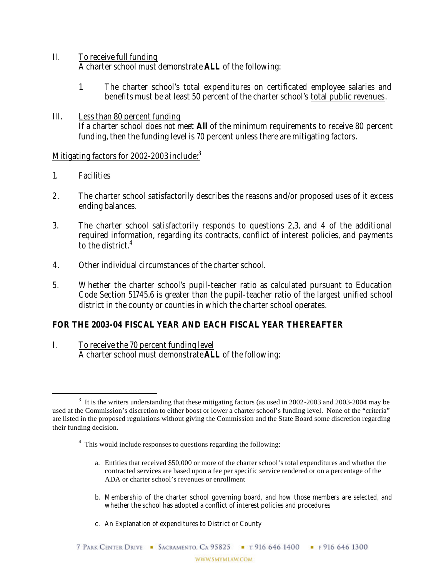- II. To receive full funding A charter school must demonstrate **ALL** of the following:
	- 1. The charter school's total expenditures on certificated employee salaries and benefits must be at least 50 percent of the charter school's total public revenues.
- III. Less than 80 percent funding If a charter school does not meet **All** of the minimum requirements to receive 80 percent funding, then the funding level is 70 percent unless there are mitigating factors.

### Mitigating factors for 2002-2003 include:<sup>3</sup>

1. Facilities

 $\overline{a}$ 

- 2. The charter school satisfactorily describes the reasons and/or proposed uses of it excess ending balances.
- 3. The charter school satisfactorily responds to questions 2,3, and 4 of the additional required information, regarding its contracts, conflict of interest policies, and payments to the district  $4$
- 4. Other individual circumstances of the charter school.
- 5. Whether the charter school's pupil-teacher ratio as calculated pursuant to Education Code Section 51745.6 is greater than the pupil-teacher ratio of the largest unified school district in the county or counties in which the charter school operates.

## **FOR THE 2003-04 FISCAL YEAR AND EACH FISCAL YEAR THEREAFTER**

I. To receive the 70 percent funding level A charter school must demonstrate **ALL** of the following:

- <sup>4</sup> This would include responses to questions regarding the following:
	- a. Entities that received \$50,000 or more of the charter school's total expenditures and whether the contracted services are based upon a fee per specific service rendered or on a percentage of the ADA or charter school's revenues or enrollment
	- b. Membership of the charter school governing board, and how those members are selected, and whether the school has adopted a conflict of interest policies and procedures
	- c. An Explanation of expenditures to District or County

 $3\,$  It is the writers understanding that these mitigating factors (as used in 2002-2003 and 2003-2004 may be used at the Commission's discretion to either boost or lower a charter school's funding level. None of the "criteria" are listed in the proposed regulations without giving the Commission and the State Board some discretion regarding their funding decision.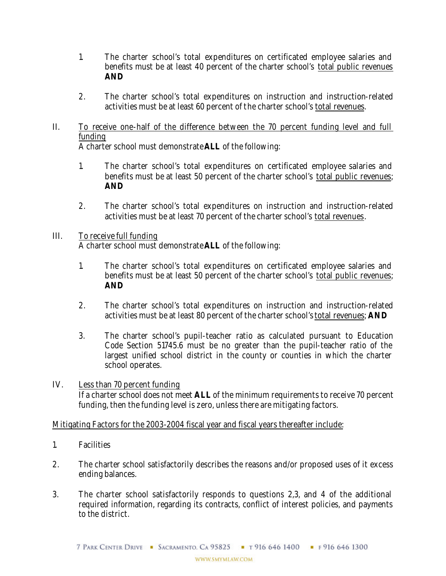- 1. The charter school's total expenditures on certificated employee salaries and benefits must be at least 40 percent of the charter school's total public revenues **AND**
- 2. The charter school's total expenditures on instruction and instruction-related activities must be at least 60 percent of the charter school's total revenues.
- II. To receive one-half of the difference between the 70 percent funding level and full funding

A charter school must demonstrate **ALL** of the following:

- 1. The charter school's total expenditures on certificated employee salaries and benefits must be at least 50 percent of the charter school's total public revenues; **AND**
- 2. The charter school's total expenditures on instruction and instruction-related activities must be at least 70 percent of the charter school's total revenues.

#### III. To receive full funding A charter school must demonstrate **ALL** of the following:

- 1. The charter school's total expenditures on certificated employee salaries and benefits must be at least 50 percent of the charter school's total public revenues; **AND**
- 2. The charter school's total expenditures on instruction and instruction-related activities must be at least 80 percent of the charter school's total revenues; **AND**
- 3. The charter school's pupil-teacher ratio as calculated pursuant to Education Code Section 51745.6 must be no greater than the pupil-teacher ratio of the largest unified school district in the county or counties in which the charter school operates.
- IV. Less than 70 percent funding If a charter school does not meet **ALL** of the minimum requirements to receive 70 percent funding, then the funding level is zero, unless there are mitigating factors.

Mitigating Factors for the 2003-2004 fiscal year and fiscal years thereafter include:

- 1. Facilities
- 2. The charter school satisfactorily describes the reasons and/or proposed uses of it excess ending balances.
- 3. The charter school satisfactorily responds to questions 2,3, and 4 of the additional required information, regarding its contracts, conflict of interest policies, and payments to the district.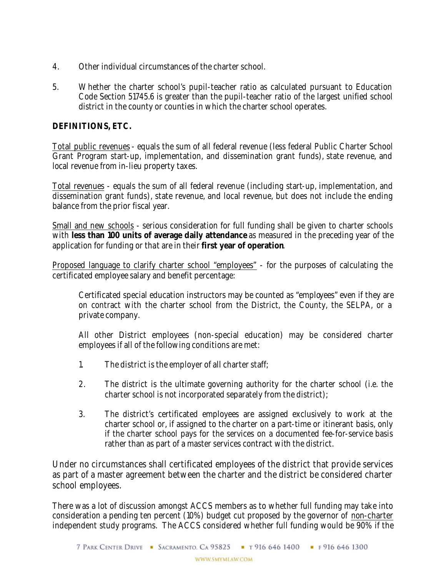- 4. Other individual circumstances of the charter school.
- 5. Whether the charter school's pupil-teacher ratio as calculated pursuant to Education Code Section 51745.6 is greater than the pupil-teacher ratio of the largest unified school district in the county or counties in which the charter school operates.

#### **DEFINITIONS, ETC.**

Total public revenues- equals the sum of all federal revenue (less federal Public Charter School Grant Program start-up, implementation, and dissemination grant funds), state revenue, and local revenue from in-lieu property taxes.

Total revenues - equals the sum of all federal revenue (including start-up, implementation, and dissemination grant funds), state revenue, and local revenue, but does not include the ending balance from the prior fiscal year.

Small and new schools - serious consideration for full funding shall be given to charter schools with **less than 100 units of average daily attendance** as measured in the preceding year of the application for funding or that are in their **first year of operation**.

Proposed language to clarify charter school "employees" - for the purposes of calculating the certificated employee salary and benefit percentage:

Certificated special education instructors may be counted as "employees" even if they are on contract with the charter school from the District, the County, the SELPA, or a private company.

All other District employees (non-special education) may be considered charter employees if all of the following conditions are met:

- 1. The district is the employer of all charter staff;
- 2. The district is the ultimate governing authority for the charter school (i.e. the charter school is not incorporated separately from the district);
- 3. The district's certificated employees are assigned exclusively to work at the charter school or, if assigned to the charter on a part-time or itinerant basis, only if the charter school pays for the services on a documented fee-for-service basis rather than as part of a master services contract with the district.

Under no circumstances shall certificated employees of the district that provide services as part of a master agreement between the charter and the district be considered charter school employees.

There was a lot of discussion amongst ACCS members as to whether full funding may take into consideration a pending ten percent (10%) budget cut proposed by the governor of non-charter independent study programs. The ACCS considered whether full funding would be 90% if the